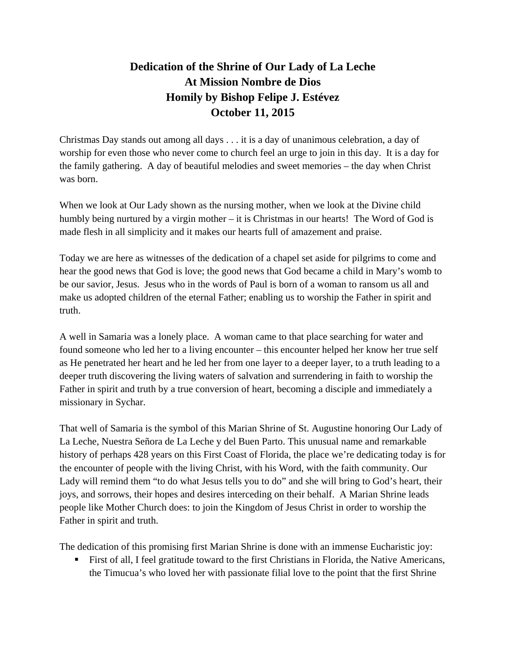## **Dedication of the Shrine of Our Lady of La Leche At Mission Nombre de Dios Homily by Bishop Felipe J. Estévez October 11, 2015**

Christmas Day stands out among all days . . . it is a day of unanimous celebration, a day of worship for even those who never come to church feel an urge to join in this day. It is a day for the family gathering. A day of beautiful melodies and sweet memories – the day when Christ was born.

When we look at Our Lady shown as the nursing mother, when we look at the Divine child humbly being nurtured by a virgin mother – it is Christmas in our hearts! The Word of God is made flesh in all simplicity and it makes our hearts full of amazement and praise.

Today we are here as witnesses of the dedication of a chapel set aside for pilgrims to come and hear the good news that God is love; the good news that God became a child in Mary's womb to be our savior, Jesus. Jesus who in the words of Paul is born of a woman to ransom us all and make us adopted children of the eternal Father; enabling us to worship the Father in spirit and truth.

A well in Samaria was a lonely place. A woman came to that place searching for water and found someone who led her to a living encounter – this encounter helped her know her true self as He penetrated her heart and he led her from one layer to a deeper layer, to a truth leading to a deeper truth discovering the living waters of salvation and surrendering in faith to worship the Father in spirit and truth by a true conversion of heart, becoming a disciple and immediately a missionary in Sychar.

That well of Samaria is the symbol of this Marian Shrine of St. Augustine honoring Our Lady of La Leche, Nuestra Señora de La Leche y del Buen Parto. This unusual name and remarkable history of perhaps 428 years on this First Coast of Florida, the place we're dedicating today is for the encounter of people with the living Christ, with his Word, with the faith community. Our Lady will remind them "to do what Jesus tells you to do" and she will bring to God's heart, their joys, and sorrows, their hopes and desires interceding on their behalf. A Marian Shrine leads people like Mother Church does: to join the Kingdom of Jesus Christ in order to worship the Father in spirit and truth.

The dedication of this promising first Marian Shrine is done with an immense Eucharistic joy:

First of all, I feel gratitude toward to the first Christians in Florida, the Native Americans, the Timucua's who loved her with passionate filial love to the point that the first Shrine